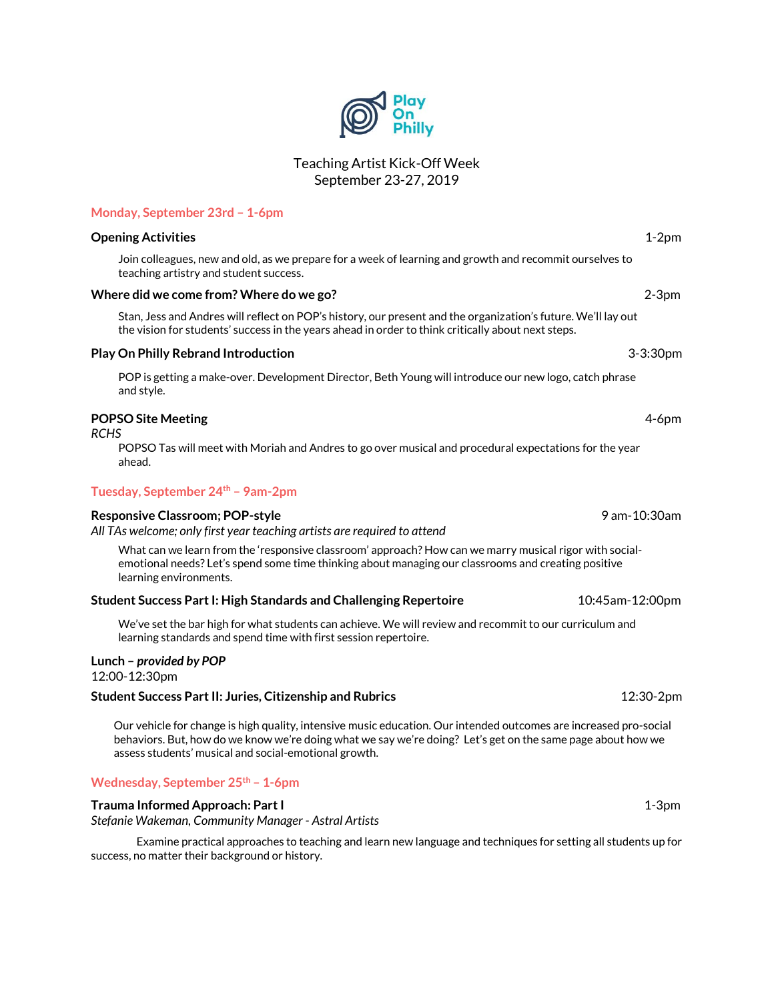# Teaching Artist Kick-Off Week September 23-27, 2019

# **Monday, September 23rd – 1-6pm**

#### **Opening Activities** 1-2pm

Join colleagues, new and old, as we prepare for a week of learning and growth and recommit ourselves to teaching artistry and student success.

#### **Where did we come from? Where do we go?** 2-3pm

Stan, Jess and Andres will reflect on POP's history, our present and the organization's future. We'll lay out the vision for students' success in the years ahead in order to think critically about next steps.

#### **Play On Philly Rebrand Introduction** 3-3:30pm

POP is getting a make-over. Development Director, Beth Young will introduce our new logo, catch phrase and style.

# **POPSO Site Meeting** 4-6pm

*RCHS*

POPSO Tas will meet with Moriah and Andres to go over musical and procedural expectations for the year ahead.

## **Tuesday, September 24th – 9am-2pm**

# **Responsive Classroom; POP-style** 9 am-10:30am

*All TAs welcome; only first year teaching artists are required to attend*

What can we learn from the 'responsive classroom' approach? How can we marry musical rigor with socialemotional needs? Let's spend some time thinking about managing our classrooms and creating positive learning environments.

## **Student Success Part I: High Standards and Challenging Repertoire** 10:45am-12:00pm

We've set the bar high for what students can achieve. We will review and recommit to our curriculum and learning standards and spend time with first session repertoire.

## **Lunch –** *provided by POP*

12:00-12:30pm

## **Student Success Part II: Juries, Citizenship and Rubrics** 12:30-2pm

Our vehicle for change is high quality, intensive music education. Our intended outcomes are increased pro-social behaviors. But, how do we know we're doing what we say we're doing? Let's get on the same page about how we assess students' musical and social-emotional growth.

# **Wednesday, September 25th – 1-6pm**

# **Trauma Informed Approach: Part I** 1-3pm

*Stefanie Wakeman, Community Manager - Astral Artists*

Examine practical approaches to teaching and learn new language and techniques for setting all students up for success, no matter their background or history.